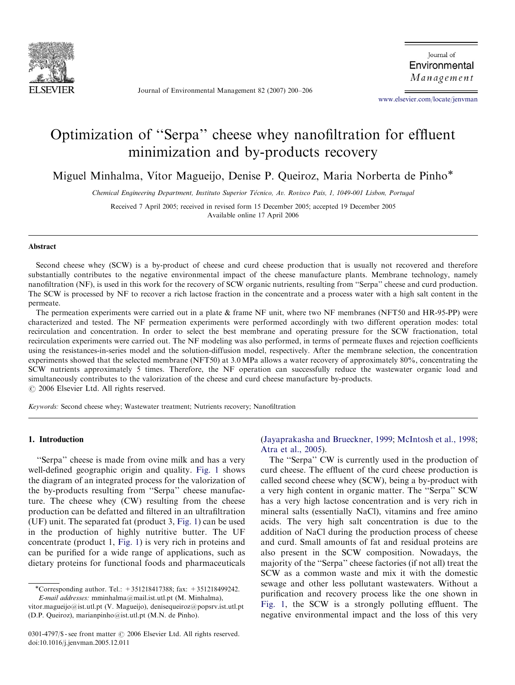

Journal of Environmental Management 82 (2007) 200–206

Journal of Environmental Management

<www.elsevier.com/locate/jenvman>

# Optimization of ''Serpa'' cheese whey nanofiltration for effluent minimization and by-products recovery

Miguel Minhalma, Vítor Magueijo, Denise P. Queiroz, Maria Norberta de Pinho\*

Chemical Engineering Department, Instituto Superior Técnico, Av. Rovisco Pais, 1, 1049-001 Lisbon, Portugal

Received 7 April 2005; received in revised form 15 December 2005; accepted 19 December 2005 Available online 17 April 2006

# Abstract

Second cheese whey (SCW) is a by-product of cheese and curd cheese production that is usually not recovered and therefore substantially contributes to the negative environmental impact of the cheese manufacture plants. Membrane technology, namely nanofiltration (NF), is used in this work for the recovery of SCW organic nutrients, resulting from ''Serpa'' cheese and curd production. The SCW is processed by NF to recover a rich lactose fraction in the concentrate and a process water with a high salt content in the permeate.

The permeation experiments were carried out in a plate & frame NF unit, where two NF membranes (NFT50 and HR-95-PP) were characterized and tested. The NF permeation experiments were performed accordingly with two different operation modes: total recirculation and concentration. In order to select the best membrane and operating pressure for the SCW fractionation, total recirculation experiments were carried out. The NF modeling was also performed, in terms of permeate fluxes and rejection coefficients using the resistances-in-series model and the solution-diffusion model, respectively. After the membrane selection, the concentration experiments showed that the selected membrane (NFT50) at 3.0 MPa allows a water recovery of approximately 80%, concentrating the SCW nutrients approximately 5 times. Therefore, the NF operation can successfully reduce the wastewater organic load and simultaneously contributes to the valorization of the cheese and curd cheese manufacture by-products.  $\odot$  2006 Elsevier Ltd. All rights reserved.

Keywords: Second cheese whey; Wastewater treatment; Nutrients recovery; Nanofiltration

# 1. Introduction

''Serpa'' cheese is made from ovine milk and has a very well-defined geographic origin and quality. [Fig. 1](#page-1-0) shows the diagram of an integrated process for the valorization of the by-products resulting from ''Serpa'' cheese manufacture. The cheese whey (CW) resulting from the cheese production can be defatted and filtered in an ultrafiltration (UF) unit. The separated fat (product 3, [Fig. 1](#page-1-0)) can be used in the production of highly nutritive butter. The UF concentrate (product 1, [Fig. 1](#page-1-0)) is very rich in proteins and can be purified for a wide range of applications, such as dietary proteins for functional foods and pharmaceuticals

# [\(Jayaprakasha and Brueckner, 1999](#page-6-0); [McIntosh et al., 1998](#page-6-0); [Atra et al., 2005](#page-6-0)).

The ''Serpa'' CW is currently used in the production of curd cheese. The effluent of the curd cheese production is called second cheese whey (SCW), being a by-product with a very high content in organic matter. The ''Serpa'' SCW has a very high lactose concentration and is very rich in mineral salts (essentially NaCl), vitamins and free amino acids. The very high salt concentration is due to the addition of NaCl during the production process of cheese and curd. Small amounts of fat and residual proteins are also present in the SCW composition. Nowadays, the majority of the ''Serpa'' cheese factories (if not all) treat the SCW as a common waste and mix it with the domestic sewage and other less pollutant wastewaters. Without a purification and recovery process like the one shown in [Fig. 1,](#page-1-0) the SCW is a strongly polluting effluent. The negative environmental impact and the loss of this very

<sup>-</sup>Corresponding author. Tel.: +351218417388; fax: +351218499242. E-mail addresses: mminhalma@mail.ist.utl.pt (M. Minhalma),

vitor.magueijo@ist.utl.pt (V. Magueijo), denisequeiroz@popsrv.ist.utl.pt (D.P. Queiroz), marianpinho@ist.utl.pt (M.N. de Pinho).

<sup>0301-4797/\$ -</sup> see front matter © 2006 Elsevier Ltd. All rights reserved. doi:10.1016/j.jenvman.2005.12.011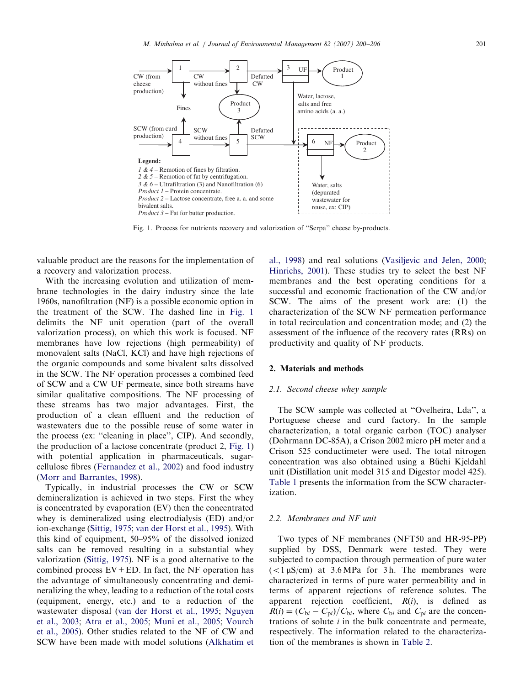<span id="page-1-0"></span>

Fig. 1. Process for nutrients recovery and valorization of ''Serpa'' cheese by-products.

valuable product are the reasons for the implementation of a recovery and valorization process.

With the increasing evolution and utilization of membrane technologies in the dairy industry since the late 1960s, nanofiltration (NF) is a possible economic option in the treatment of the SCW. The dashed line in Fig. 1 delimits the NF unit operation (part of the overall valorization process), on which this work is focused. NF membranes have low rejections (high permeability) of monovalent salts (NaCl, KCl) and have high rejections of the organic compounds and some bivalent salts dissolved in the SCW. The NF operation processes a combined feed of SCW and a CW UF permeate, since both streams have similar qualitative compositions. The NF processing of these streams has two major advantages. First, the production of a clean effluent and the reduction of wastewaters due to the possible reuse of some water in the process (ex: ''cleaning in place'', CIP). And secondly, the production of a lactose concentrate (product 2, Fig. 1) with potential application in pharmaceuticals, sugarcellulose fibres [\(Fernandez et al., 2002\)](#page-6-0) and food industry ([Morr and Barrantes, 1998\)](#page-6-0).

Typically, in industrial processes the CW or SCW demineralization is achieved in two steps. First the whey is concentrated by evaporation (EV) then the concentrated whey is demineralized using electrodialysis (ED) and/or ion-exchange [\(Sittig, 1975;](#page-6-0) [van der Horst et al., 1995\)](#page-6-0). With this kind of equipment, 50–95% of the dissolved ionized salts can be removed resulting in a substantial whey valorization [\(Sittig, 1975\)](#page-6-0). NF is a good alternative to the combined process  $EV + ED$ . In fact, the NF operation has the advantage of simultaneously concentrating and demineralizing the whey, leading to a reduction of the total costs (equipment, energy, etc.) and to a reduction of the wastewater disposal ([van der Horst et al., 1995;](#page-6-0) [Nguyen](#page-6-0) [et al., 2003;](#page-6-0) [Atra et al., 2005](#page-6-0); [Muni et al., 2005;](#page-6-0) [Vourch](#page-6-0) [et al., 2005\)](#page-6-0). Other studies related to the NF of CW and SCW have been made with model solutions [\(Alkhatim et](#page-6-0) [al., 1998](#page-6-0)) and real solutions [\(Vasiljevic and Jelen, 2000;](#page-6-0) [Hinrichs, 2001\)](#page-6-0). These studies try to select the best NF membranes and the best operating conditions for a successful and economic fractionation of the CW and/or SCW. The aims of the present work are: (1) the characterization of the SCW NF permeation performance in total recirculation and concentration mode; and (2) the assessment of the influence of the recovery rates (RRs) on productivity and quality of NF products.

# 2. Materials and methods

# 2.1. Second cheese whey sample

The SCW sample was collected at ''Ovelheira, Lda'', a Portuguese cheese and curd factory. In the sample characterization, a total organic carbon (TOC) analyser (Dohrmann DC-85A), a Crison 2002 micro pH meter and a Crison 525 conductimeter were used. The total nitrogen concentration was also obtained using a Büchi Kjeldahl unit (Distillation unit model 315 and Digestor model 425). [Table 1](#page-2-0) presents the information from the SCW characterization.

# 2.2. Membranes and NF unit

Two types of NF membranes (NFT50 and HR-95-PP) supplied by DSS, Denmark were tested. They were subjected to compaction through permeation of pure water  $\epsilon$ (<1  $\mu$ S/cm) at 3.6 MPa for 3 h. The membranes were characterized in terms of pure water permeability and in terms of apparent rejections of reference solutes. The apparent rejection coefficient,  $R(i)$ , is defined as  $R(i) = (C_{bi} - C_{pi})/C_{bi}$ , where  $C_{bi}$  and  $C_{pi}$  are the concentrations of solute  $i$  in the bulk concentrate and permeate, respectively. The information related to the characterization of the membranes is shown in [Table 2.](#page-2-0)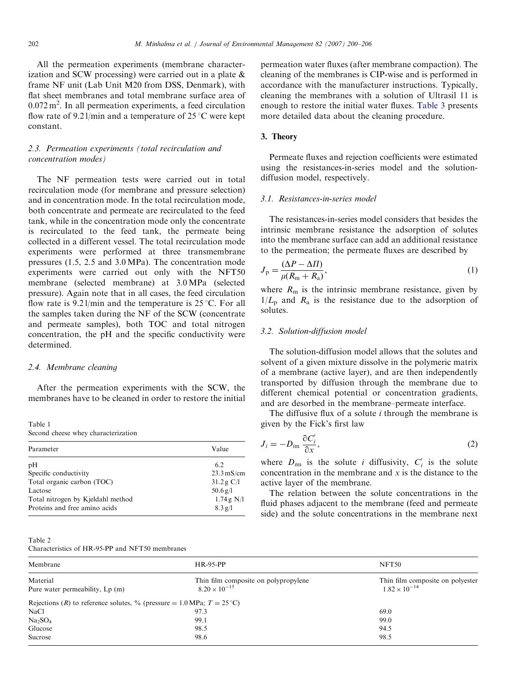<span id="page-2-0"></span>All the permeation experiments (membrane characterization and SCW processing) were carried out in a plate & frame NF unit (Lab Unit M20 from DSS, Denmark), with flat sheet membranes and total membrane surface area of  $0.072 \text{ m}^2$ . In all permeation experiments, a feed circulation flow rate of 9.21/min and a temperature of 25 °C were kept constant.

# 2.3. Permeation experiments (total recirculation and concentration modes)

The NF permeation tests were carried out in total recirculation mode (for membrane and pressure selection) and in concentration mode. In the total recirculation mode, both concentrate and permeate are recirculated to the feed tank, while in the concentration mode only the concentrate is recirculated to the feed tank, the permeate being collected in a different vessel. The total recirculation mode experiments were performed at three transmembrane pressures (1.5, 2.5 and 3.0 MPa). The concentration mode experiments were carried out only with the NFT50 membrane (selected membrane) at 3.0 MPa (selected pressure). Again note that in all cases, the feed circulation flow rate is  $9.21/\text{min}$  and the temperature is  $25^{\circ}\text{C}$ . For all the samples taken during the NF of the SCW (concentrate and permeate samples), both TOC and total nitrogen concentration, the pH and the specific conductivity were determined.

#### 2.4. Membrane cleaning

After the permeation experiments with the SCW, the membranes have to be cleaned in order to restore the initial

Table 1 Second cheese whey characterization

| Parameter                         | Value                |
|-----------------------------------|----------------------|
| pH                                | 6.2                  |
| Specific conductivity             | $23.3 \text{ mS/cm}$ |
| Total organic carbon (TOC)        | 31.2 g C/l           |
| Lactose                           | $50.6 \text{ g}/1$   |
| Total nitrogen by Kjeldahl method | 1.74 g N/l           |
| Proteins and free amino acids     | $8.3$ g/l            |

Table 2

Characteristics of HR-95-PP and NFT50 membranes

permeation water fluxes (after membrane compaction). The cleaning of the membranes is CIP-wise and is performed in accordance with the manufacturer instructions. Typically, cleaning the membranes with a solution of Ultrasil 11 is enough to restore the initial water fluxes. [Table 3](#page-3-0) presents more detailed data about the cleaning procedure.

# 3. Theory

Permeate fluxes and rejection coefficients were estimated using the resistances-in-series model and the solutiondiffusion model, respectively.

### 3.1. Resistances-in-series model

The resistances-in-series model considers that besides the intrinsic membrane resistance the adsorption of solutes into the membrane surface can add an additional resistance to the permeation; the permeate fluxes are described by

$$
J_{\rm p} = \frac{(\Delta P - \Delta \Pi)}{\mu (R_{\rm m} + R_{\rm a})},\tag{1}
$$

where  $R_{\rm m}$  is the intrinsic membrane resistance, given by  $1/L_p$  and  $R_a$  is the resistance due to the adsorption of solutes.

## 3.2. Solution-diffusion model

The solution-diffusion model allows that the solutes and solvent of a given mixture dissolve in the polymeric matrix of a membrane (active layer), and are then independently transported by diffusion through the membrane due to different chemical potential or concentration gradients, and are desorbed in the membrane–permeate interface.

The diffusive flux of a solute  $i$  through the membrane is given by the Fick's first law

$$
J_i = -D_{i\text{m}} \frac{\partial C_i'}{\partial x},\tag{2}
$$

where  $D_{im}$  is the solute i diffusivity,  $C_i$  is the solute concentration in the membrane and  $x$  is the distance to the active layer of the membrane.

The relation between the solute concentrations in the fluid phases adjacent to the membrane (feed and permeate side) and the solute concentrations in the membrane next

| Membrane                                                                        | <b>HR-95-PP</b>                      | NFT50                            |
|---------------------------------------------------------------------------------|--------------------------------------|----------------------------------|
| Material                                                                        | Thin film composite on polypropylene | Thin film composite on polyester |
| Pure water permeability, Lp (m)                                                 | $8.20 \times 10^{-15}$               | $1.82 \times 10^{-14}$           |
| Rejections (R) to reference solutes, % (pressure = 1.0 MPa; $T = 25^{\circ}$ C) |                                      |                                  |
| <b>NaCl</b>                                                                     | 97.3                                 | 69.0                             |
| Na <sub>2</sub> SO <sub>4</sub>                                                 | 99.1                                 | 99.0                             |
| Glucose                                                                         | 98.5                                 | 94.5                             |
| Sucrose                                                                         | 98.6                                 | 98.5                             |
|                                                                                 |                                      |                                  |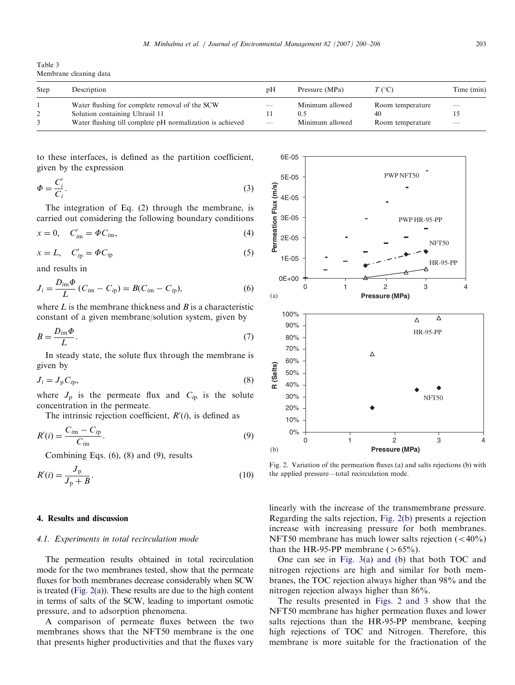<span id="page-3-0"></span>Table 3 Membrane cleaning data

| Step | Description                                                                                                                                    | pΗ                                            | Pressure (MPa)                            | $T$ (°C)                                   | Time (min)                                           |
|------|------------------------------------------------------------------------------------------------------------------------------------------------|-----------------------------------------------|-------------------------------------------|--------------------------------------------|------------------------------------------------------|
|      | Water flushing for complete removal of the SCW<br>Solution containing Ultrasil 11<br>Water flushing till complete pH normalization is achieved | $\hspace{0.05cm}$<br>$\overline{\phantom{m}}$ | Minimum allowed<br>0.5<br>Minimum allowed | Room temperature<br>40<br>Room temperature | $\hspace{0.1mm}-\hspace{0.1mm}$<br>$\hspace{0.05cm}$ |

to these interfaces, is defined as the partition coefficient, given by the expression

$$
\Phi = \frac{C_i'}{C_i}.\tag{3}
$$

The integration of Eq. (2) through the membrane, is carried out considering the following boundary conditions

$$
x = 0, \quad C'_{im} = \Phi C_{im}, \tag{4}
$$

$$
x = L, \quad C'_{ip} = \Phi C_{ip} \tag{5}
$$

and results in

$$
J_i = \frac{D_{im}\Phi}{L}(C_{im} - C_{ip}) = B(C_{im} - C_{ip}),
$$
\n(6)

where  $L$  is the membrane thickness and  $B$  is a characteristic constant of a given membrane/solution system, given by

$$
B = \frac{D_{im}\Phi}{L}.\tag{7}
$$

In steady state, the solute flux through the membrane is given by

$$
J_i = J_p C_{ip},\tag{8}
$$

where  $J_p$  is the permeate flux and  $C_{ip}$  is the solute concentration in the permeate.

The intrinsic rejection coefficient,  $R'(i)$ , is defined as

$$
R'(i) = \frac{C_{im} - C_{ip}}{C_{im}}.\tag{9}
$$

Combining Eqs. (6), (8) and (9), results

$$
R'(i) = \frac{J_{\rm p}}{J_{\rm p} + B}.
$$
\n(10)

# 4. Results and discussion

## 4.1. Experiments in total recirculation mode

The permeation results obtained in total recirculation mode for the two membranes tested, show that the permeate fluxes for both membranes decrease considerably when SCW is treated (Fig.  $2(a)$ ). These results are due to the high content in terms of salts of the SCW, leading to important osmotic pressure, and to adsorption phenomena.

A comparison of permeate fluxes between the two membranes shows that the NFT50 membrane is the one that presents higher productivities and that the fluxes vary



Fig. 2. Variation of the permeation fluxes (a) and salts rejections (b) with the applied pressure—total recirculation mode.

linearly with the increase of the transmembrane pressure. Regarding the salts rejection, Fig. 2(b) presents a rejection increase with increasing pressure for both membranes. NFT50 membrane has much lower salts rejection  $( $40\%$ )$ than the HR-95-PP membrane ( $>65\%$ ).

One can see in [Fig. 3\(a\) and \(b\)](#page-4-0) that both TOC and nitrogen rejections are high and similar for both membranes, the TOC rejection always higher than 98% and the nitrogen rejection always higher than 86%.

The results presented in Figs. 2 and 3 show that the NFT50 membrane has higher permeation fluxes and lower salts rejections than the HR-95-PP membrane, keeping high rejections of TOC and Nitrogen. Therefore, this membrane is more suitable for the fractionation of the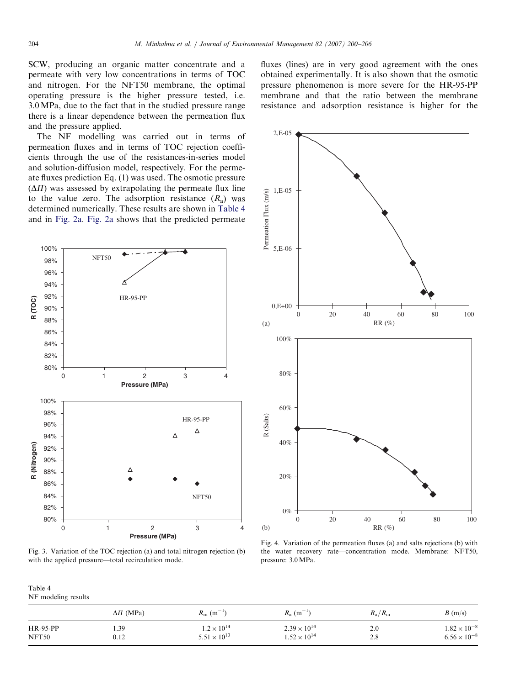<span id="page-4-0"></span>SCW, producing an organic matter concentrate and a permeate with very low concentrations in terms of TOC and nitrogen. For the NFT50 membrane, the optimal operating pressure is the higher pressure tested, i.e. 3.0 MPa, due to the fact that in the studied pressure range there is a linear dependence between the permeation flux and the pressure applied.

The NF modelling was carried out in terms of permeation fluxes and in terms of TOC rejection coefficients through the use of the resistances-in-series model and solution-diffusion model, respectively. For the permeate fluxes prediction Eq. (1) was used. The osmotic pressure  $(\Delta \Pi)$  was assessed by extrapolating the permeate flux line to the value zero. The adsorption resistance  $(R_a)$  was determined numerically. These results are shown in Table 4 and in [Fig. 2a.](#page-3-0) [Fig. 2a](#page-3-0) shows that the predicted permeate



Fig. 3. Variation of the TOC rejection (a) and total nitrogen rejection (b) with the applied pressure—total recirculation mode.

Table 4 NF modeling results

|          | $\Delta \Pi$ (MPa) | $R_{\rm m}$ (m <sup>-1</sup> ) | $R_{\rm a}$ (m <sup>-1</sup> ) | $R_{\rm a}/R_{\rm m}$ | B(m/s)                |
|----------|--------------------|--------------------------------|--------------------------------|-----------------------|-----------------------|
| HR-95-PP | 1.39               | $1.2 \times 10^{14}$           | $2.39 \times 10^{14}$          | 2.0                   | $1.82 \times 10^{-8}$ |
| NFT50    | 0.12               | $5.51 \times 10^{13}$          | $1.52 \times 10^{14}$          | 2.8                   | $6.56 \times 10^{-8}$ |

fluxes (lines) are in very good agreement with the ones obtained experimentally. It is also shown that the osmotic pressure phenomenon is more severe for the HR-95-PP membrane and that the ratio between the membrane resistance and adsorption resistance is higher for the



Fig. 4. Variation of the permeation fluxes (a) and salts rejections (b) with the water recovery rate—concentration mode. Membrane: NFT50, pressure: 3.0MPa.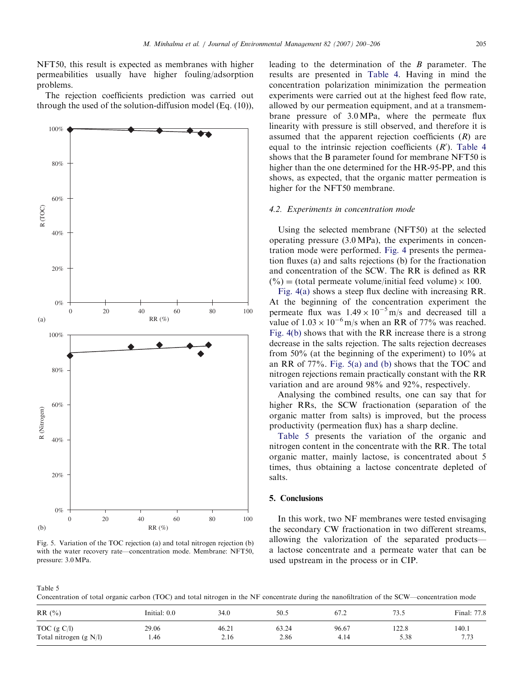NFT50, this result is expected as membranes with higher permeabilities usually have higher fouling/adsorption

problems. The rejection coefficients prediction was carried out



Fig. 5. Variation of the TOC rejection (a) and total nitrogen rejection (b) with the water recovery rate—concentration mode. Membrane: NFT50, pressure: 3.0 MPa.

leading to the determination of the B parameter. The results are presented in [Table 4.](#page-4-0) Having in mind the concentration polarization minimization the permeation experiments were carried out at the highest feed flow rate, allowed by our permeation equipment, and at a transmembrane pressure of 3.0 MPa, where the permeate flux linearity with pressure is still observed, and therefore it is assumed that the apparent rejection coefficients  $(R)$  are equal to the intrinsic rejection coefficients  $(R')$ . [Table 4](#page-4-0) shows that the B parameter found for membrane NFT50 is higher than the one determined for the HR-95-PP, and this shows, as expected, that the organic matter permeation is higher for the NFT50 membrane.

#### 4.2. Experiments in concentration mode

Using the selected membrane (NFT50) at the selected operating pressure (3.0 MPa), the experiments in concentration mode were performed. [Fig. 4](#page-4-0) presents the permeation fluxes (a) and salts rejections (b) for the fractionation and concentration of the SCW. The RR is defined as RR  $(\% )$  = (total permeate volume/initial feed volume)  $\times 100$ .

[Fig. 4\(a\)](#page-4-0) shows a steep flux decline with increasing RR. At the beginning of the concentration experiment the permeate flux was  $1.49 \times 10^{-5}$  m/s and decreased till a value of  $1.03 \times 10^{-6}$  m/s when an RR of 77% was reached. [Fig. 4\(b\)](#page-4-0) shows that with the RR increase there is a strong decrease in the salts rejection. The salts rejection decreases from 50% (at the beginning of the experiment) to  $10\%$  at an RR of 77%. Fig. 5(a) and (b) shows that the TOC and nitrogen rejections remain practically constant with the RR variation and are around 98% and 92%, respectively.

Analysing the combined results, one can say that for higher RRs, the SCW fractionation (separation of the organic matter from salts) is improved, but the process productivity (permeation flux) has a sharp decline.

Table 5 presents the variation of the organic and nitrogen content in the concentrate with the RR. The total organic matter, mainly lactose, is concentrated about 5 times, thus obtaining a lactose concentrate depleted of salts.

## 5. Conclusions

In this work, two NF membranes were tested envisaging the secondary CW fractionation in two different streams, allowing the valorization of the separated products a lactose concentrate and a permeate water that can be used upstream in the process or in CIP.

Table 5

Concentration of total organic carbon (TOC) and total nitrogen in the NF concentrate during the nanofiltration of the SCW—concentration mode

| RR(%)                                     | Initial: 0.0  | 34.0          | 50.5          | 67.2          | 73.5          | Final: 77.8           |
|-------------------------------------------|---------------|---------------|---------------|---------------|---------------|-----------------------|
| TOC $(g C/I)$<br>Total nitrogen $(g N/l)$ | 29.06<br>1.46 | 46.21<br>2.16 | 63.24<br>2.86 | 96.67<br>4.14 | 122.8<br>5.38 | 140.1<br>773<br>ر ، ، |